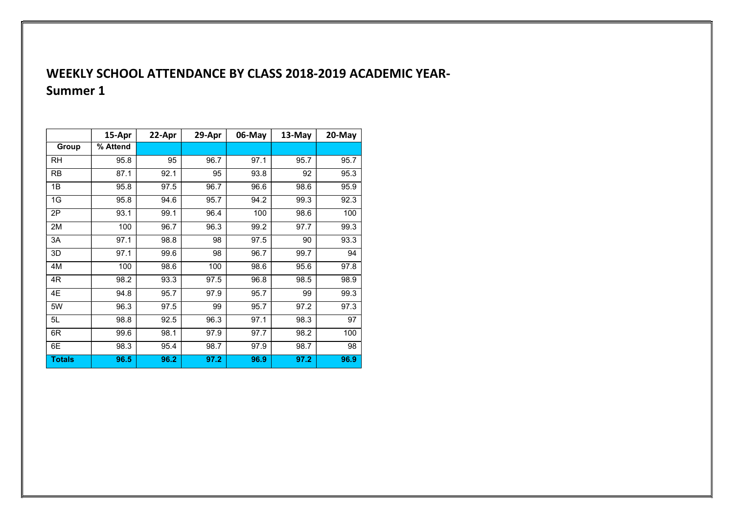# WEEKLY SCHOOL ATTENDANCE BY CLASS 2018-2019 ACADEMIC YEAR-Summer 1

|               | 15-Apr   | 22-Apr | 29-Apr | 06-May | 13-May | 20-May |
|---------------|----------|--------|--------|--------|--------|--------|
| Group         | % Attend |        |        |        |        |        |
| RH            | 95.8     | 95     | 96.7   | 97.1   | 95.7   | 95.7   |
| <b>RB</b>     | 87.1     | 92.1   | 95     | 93.8   | 92     | 95.3   |
| 1B            | 95.8     | 97.5   | 96.7   | 96.6   | 98.6   | 95.9   |
| 1G            | 95.8     | 94.6   | 95.7   | 94.2   | 99.3   | 92.3   |
| 2P            | 93.1     | 99.1   | 96.4   | 100    | 98.6   | 100    |
| 2M            | 100      | 96.7   | 96.3   | 99.2   | 97.7   | 99.3   |
| 3A            | 97.1     | 98.8   | 98     | 97.5   | 90     | 93.3   |
| 3D            | 97.1     | 99.6   | 98     | 96.7   | 99.7   | 94     |
| 4M            | 100      | 98.6   | 100    | 98.6   | 95.6   | 97.8   |
| 4R            | 98.2     | 93.3   | 97.5   | 96.8   | 98.5   | 98.9   |
| 4E            | 94.8     | 95.7   | 97.9   | 95.7   | 99     | 99.3   |
| 5W            | 96.3     | 97.5   | 99     | 95.7   | 97.2   | 97.3   |
| 5L            | 98.8     | 92.5   | 96.3   | 97.1   | 98.3   | 97     |
| 6R            | 99.6     | 98.1   | 97.9   | 97.7   | 98.2   | 100    |
| 6E            | 98.3     | 95.4   | 98.7   | 97.9   | 98.7   | 98     |
| <b>Totals</b> | 96.5     | 96.2   | 97.2   | 96.9   | 97.2   | 96.9   |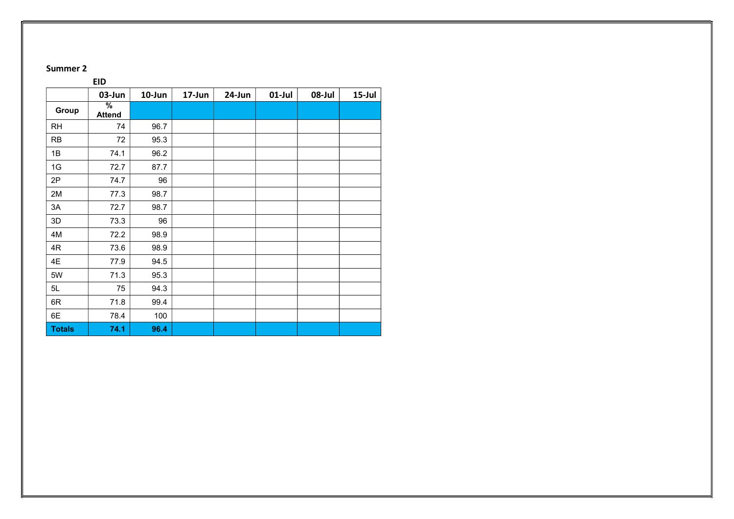### Summer 2

## EID | 03-Jun | 10-Jun | 17-Jun | 24-Jun | 01-Jul | 08-Jul | 15-Jul Group % Attend RH 74 96.7 RB 72 95.3 1B 74.1 96.2 1G | 72.7 | 87.7 2P | 74.7 | 96 2M 77.3 98.7 3A | 72.7 | 98.7 3D 73.3 96 4M 72.2 98.9 4R 73.6 98.9 4E | 77.9 | 94.5 5W 71.3 95.3 5L 75 94.3 6R | 71.8 | 99.4 6E 78.4 100 Totals 74.1 96.4